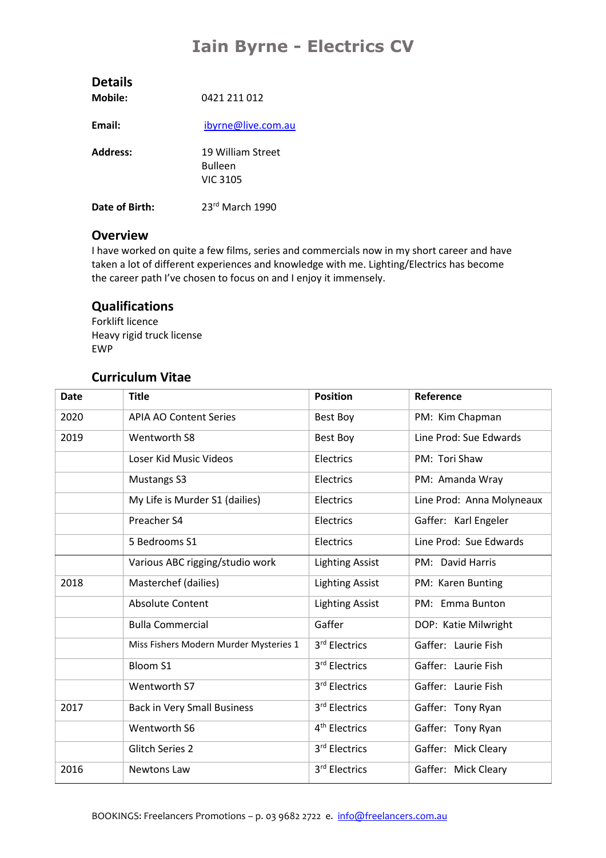## **Iain Byrne - Electrics CV**

| <b>Details</b><br>Mobile: | 0421 211 012                                           |
|---------------------------|--------------------------------------------------------|
| Email:                    | ibyrne@live.com.au                                     |
| <b>Address:</b>           | 19 William Street<br><b>Bulleen</b><br><b>VIC 3105</b> |
| Date of Birth:            | $23rd$ March 1990                                      |

## **Overview**

I have worked on quite a few films, series and commercials now in my short career and have taken a lot of different experiences and knowledge with me. Lighting/Electrics has become the career path I've chosen to focus on and I enjoy it immensely.

## **Qualifications**

Forklift licence Heavy rigid truck license EWP

## **Curriculum Vitae**

| <b>Date</b> | <b>Title</b>                           | <b>Position</b>           | Reference                 |
|-------------|----------------------------------------|---------------------------|---------------------------|
| 2020        | <b>APIA AO Content Series</b>          | Best Boy                  | PM: Kim Chapman           |
| 2019        | Wentworth S8                           | Best Boy                  | Line Prod: Sue Edwards    |
|             | Loser Kid Music Videos                 | Electrics                 | PM: Tori Shaw             |
|             | Mustangs S3                            | Electrics                 | PM: Amanda Wray           |
|             | My Life is Murder S1 (dailies)         | Electrics                 | Line Prod: Anna Molyneaux |
|             | Preacher S4                            | Electrics                 | Gaffer: Karl Engeler      |
|             | 5 Bedrooms S1                          | Electrics                 | Line Prod: Sue Edwards    |
|             | Various ABC rigging/studio work        | <b>Lighting Assist</b>    | PM: David Harris          |
| 2018        | Masterchef (dailies)                   | <b>Lighting Assist</b>    | PM: Karen Bunting         |
|             | <b>Absolute Content</b>                | <b>Lighting Assist</b>    | PM: Emma Bunton           |
|             | <b>Bulla Commercial</b>                | Gaffer                    | DOP: Katie Milwright      |
|             | Miss Fishers Modern Murder Mysteries 1 | 3rd Electrics             | Gaffer: Laurie Fish       |
|             | <b>Bloom S1</b>                        | 3rd Electrics             | Gaffer: Laurie Fish       |
|             | Wentworth S7                           | 3rd Electrics             | Gaffer: Laurie Fish       |
| 2017        | <b>Back in Very Small Business</b>     | 3rd Electrics             | Gaffer: Tony Ryan         |
|             | Wentworth S6                           | 4 <sup>th</sup> Electrics | Gaffer: Tony Ryan         |
|             | Glitch Series 2                        | 3rd Electrics             | Gaffer: Mick Cleary       |
| 2016        | Newtons Law                            | 3rd Electrics             | Gaffer: Mick Cleary       |